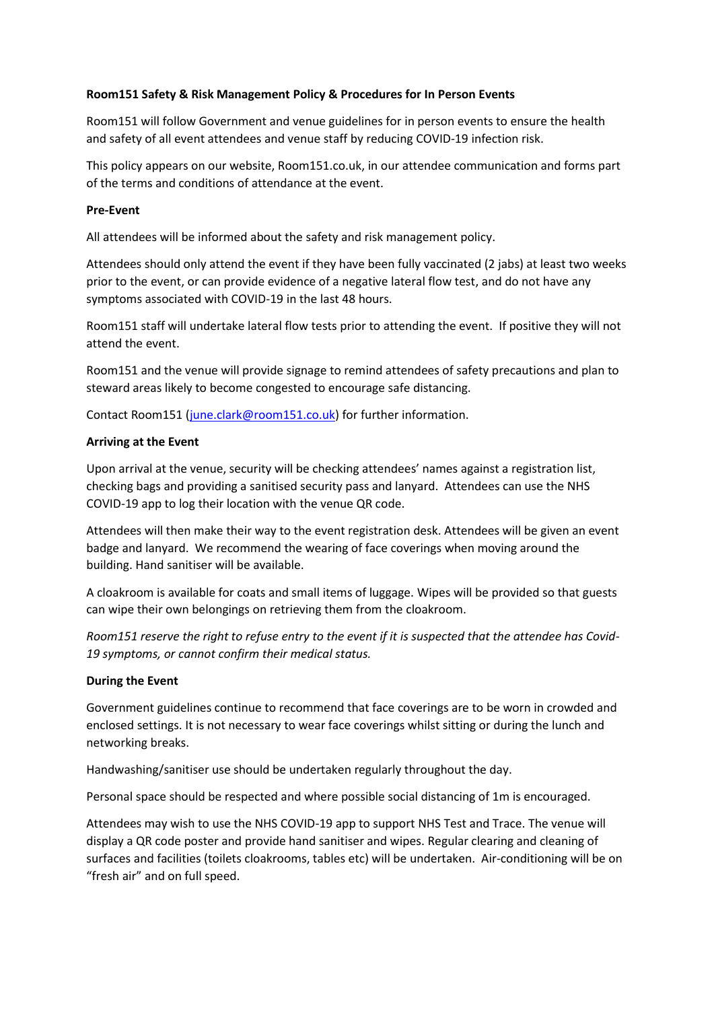### **Room151 Safety & Risk Management Policy & Procedures for In Person Events**

Room151 will follow Government and venue guidelines for in person events to ensure the health and safety of all event attendees and venue staff by reducing COVID-19 infection risk.

This policy appears on our website, Room151.co.uk, in our attendee communication and forms part of the terms and conditions of attendance at the event.

### **Pre-Event**

All attendees will be informed about the safety and risk management policy.

Attendees should only attend the event if they have been fully vaccinated (2 jabs) at least two weeks prior to the event, or can provide evidence of a negative lateral flow test, and do not have any symptoms associated with COVID-19 in the last 48 hours.

Room151 staff will undertake lateral flow tests prior to attending the event. If positive they will not attend the event.

Room151 and the venue will provide signage to remind attendees of safety precautions and plan to steward areas likely to become congested to encourage safe distancing.

Contact Room151 [\(june.clark@room151.co.uk\)](mailto:june.clark@room151.co.uk) for further information.

## **Arriving at the Event**

Upon arrival at the venue, security will be checking attendees' names against a registration list, checking bags and providing a sanitised security pass and lanyard. Attendees can use the NHS COVID-19 app to log their location with the venue QR code.

Attendees will then make their way to the event registration desk. Attendees will be given an event badge and lanyard. We recommend the wearing of face coverings when moving around the building. Hand sanitiser will be available.

A cloakroom is available for coats and small items of luggage. Wipes will be provided so that guests can wipe their own belongings on retrieving them from the cloakroom.

*Room151 reserve the right to refuse entry to the event if it is suspected that the attendee has Covid-19 symptoms, or cannot confirm their medical status.* 

### **During the Event**

Government guidelines continue to recommend that face coverings are to be worn in crowded and enclosed settings. It is not necessary to wear face coverings whilst sitting or during the lunch and networking breaks.

Handwashing/sanitiser use should be undertaken regularly throughout the day.

Personal space should be respected and where possible social distancing of 1m is encouraged.

Attendees may wish to use the NHS COVID-19 app to support NHS Test and Trace. The venue will display a QR code poster and provide hand sanitiser and wipes. Regular clearing and cleaning of surfaces and facilities (toilets cloakrooms, tables etc) will be undertaken. Air-conditioning will be on "fresh air" and on full speed.